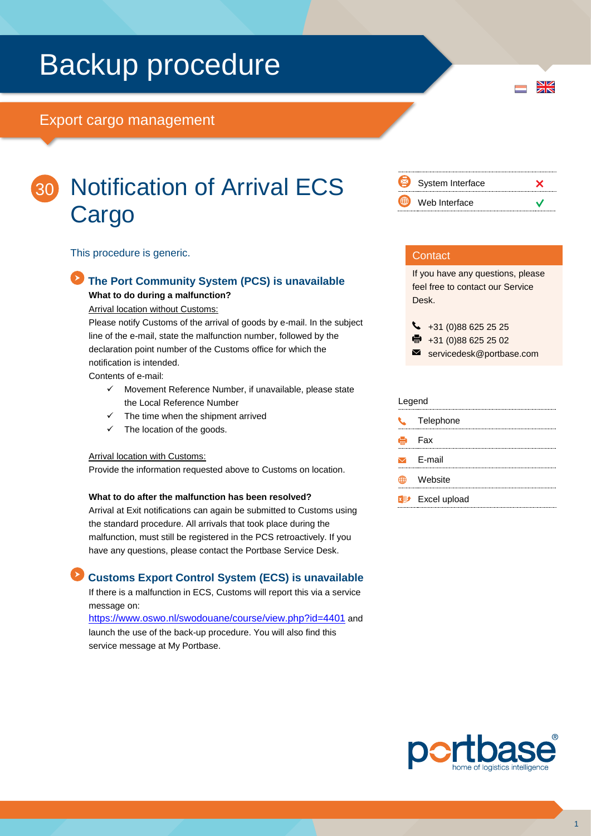## Backup procedure

### Export cargo management



 $\frac{N}{N}$ 

## Notification of Arrival ECS 30**Cargo**

This procedure is generic.

### **The Port Community System (PCS) is unavailable**

**What to do during a malfunction?**

Arrival location without Customs:

Please notify Customs of the arrival of goods by e-mail. In the subject line of the e-mail, state the malfunction number, followed by the declaration point number of the Customs office for which the notification is intended.

Contents of e-mail:

- $\checkmark$  Movement Reference Number, if unavailable, please state the Local Reference Number
- $\checkmark$  The time when the shipment arrived
- The location of the goods.

### Arrival location with Customs:

Provide the information requested above to Customs on location.

### **What to do after the malfunction has been resolved?**

Arrival at Exit notifications can again be submitted to Customs using the standard procedure. All arrivals that took place during the malfunction, must still be registered in the PCS retroactively. If you have any questions, please contact the Portbase Service Desk.

### **Customs Export Control System (ECS) is unavailable**

If there is a malfunction in ECS, Customs will report this via a service message on:

<https://www.oswo.nl/swodouane/course/view.php?id=4401> and launch the use of the back-up procedure. You will also find this service message at My Portbase.

| Ø  | System Interface |  |
|----|------------------|--|
| (∰ | Web Interface    |  |

### **Contact**

If you have any questions, please feel free to contact our Service Desk.

 $\begin{array}{r} \big\{\end{array}$  +31 (0)88 625 25 25

 $\bullet$  +31 (0)88 625 25 02

servicedesk@portbase.com

| Legend        |                                    |  |
|---------------|------------------------------------|--|
| $\mathcal{L}$ | Telephone                          |  |
| Ú,            | - Fax                              |  |
|               | $\triangleright$ E-mail            |  |
|               | Website                            |  |
|               | <b>x</b> <sup>y</sup> Excel upload |  |